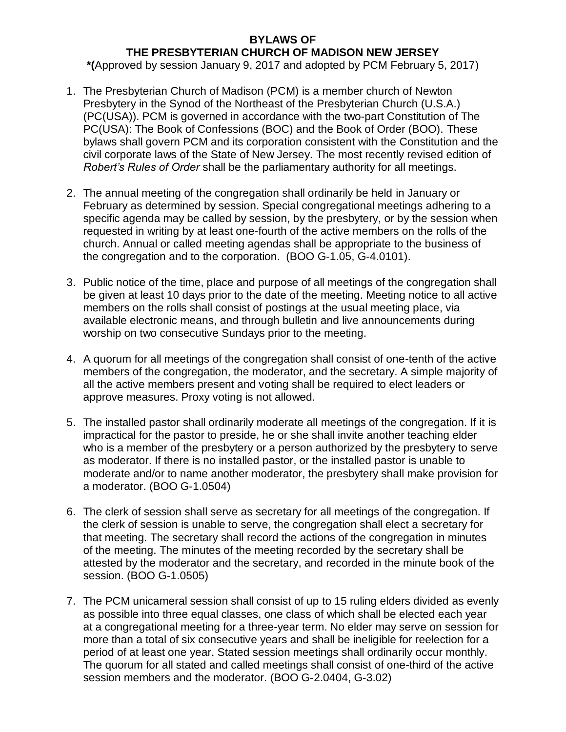## **BYLAWS OF THE PRESBYTERIAN CHURCH OF MADISON NEW JERSEY**

**\*(**Approved by session January 9, 2017 and adopted by PCM February 5, 2017)

- 1. The Presbyterian Church of Madison (PCM) is a member church of Newton Presbytery in the Synod of the Northeast of the Presbyterian Church (U.S.A.) (PC(USA)). PCM is governed in accordance with the two-part Constitution of The PC(USA): The Book of Confessions (BOC) and the Book of Order (BOO). These bylaws shall govern PCM and its corporation consistent with the Constitution and the civil corporate laws of the State of New Jersey. The most recently revised edition of *Robert's Rules of Order* shall be the parliamentary authority for all meetings.
- 2. The annual meeting of the congregation shall ordinarily be held in January or February as determined by session. Special congregational meetings adhering to a specific agenda may be called by session, by the presbytery, or by the session when requested in writing by at least one-fourth of the active members on the rolls of the church. Annual or called meeting agendas shall be appropriate to the business of the congregation and to the corporation. (BOO G-1.05, G-4.0101).
- 3. Public notice of the time, place and purpose of all meetings of the congregation shall be given at least 10 days prior to the date of the meeting. Meeting notice to all active members on the rolls shall consist of postings at the usual meeting place, via available electronic means, and through bulletin and live announcements during worship on two consecutive Sundays prior to the meeting.
- 4. A quorum for all meetings of the congregation shall consist of one-tenth of the active members of the congregation, the moderator, and the secretary. A simple majority of all the active members present and voting shall be required to elect leaders or approve measures. Proxy voting is not allowed.
- 5. The installed pastor shall ordinarily moderate all meetings of the congregation. If it is impractical for the pastor to preside, he or she shall invite another teaching elder who is a member of the presbytery or a person authorized by the presbytery to serve as moderator. If there is no installed pastor, or the installed pastor is unable to moderate and/or to name another moderator, the presbytery shall make provision for a moderator. (BOO G-1.0504)
- 6. The clerk of session shall serve as secretary for all meetings of the congregation. If the clerk of session is unable to serve, the congregation shall elect a secretary for that meeting. The secretary shall record the actions of the congregation in minutes of the meeting. The minutes of the meeting recorded by the secretary shall be attested by the moderator and the secretary, and recorded in the minute book of the session. (BOO G-1.0505)
- 7. The PCM unicameral session shall consist of up to 15 ruling elders divided as evenly as possible into three equal classes, one class of which shall be elected each year at a congregational meeting for a three-year term. No elder may serve on session for more than a total of six consecutive years and shall be ineligible for reelection for a period of at least one year. Stated session meetings shall ordinarily occur monthly. The quorum for all stated and called meetings shall consist of one-third of the active session members and the moderator. (BOO G-2.0404, G-3.02)